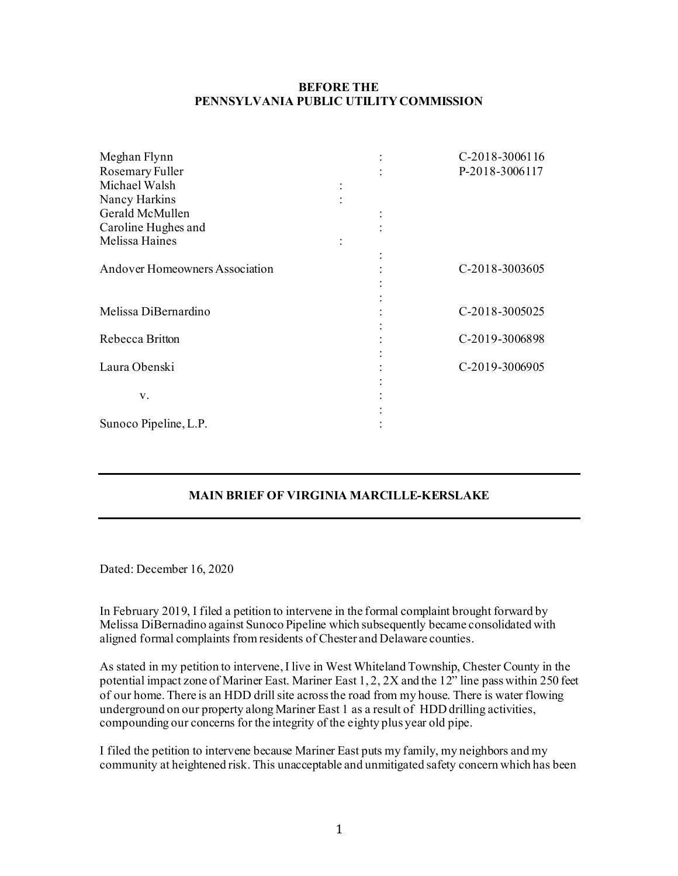## **BEFORE THE PENNSYLVANIA PUBLIC UTILITY COMMISSION**

| Meghan Flynn                          | $\ddot{\cdot}$ | C-2018-3006116 |
|---------------------------------------|----------------|----------------|
| Rosemary Fuller                       |                | P-2018-3006117 |
| Michael Walsh                         |                |                |
| Nancy Harkins                         |                |                |
| Gerald McMullen                       |                |                |
| Caroline Hughes and                   |                |                |
| Melissa Haines                        |                |                |
|                                       | $\vdots$       |                |
| <b>Andover Homeowners Association</b> |                | C-2018-3003605 |
|                                       |                |                |
|                                       |                |                |
| Melissa DiBernardino                  |                | C-2018-3005025 |
|                                       |                |                |
| Rebecca Britton                       |                | C-2019-3006898 |
|                                       |                |                |
| Laura Obenski                         |                | C-2019-3006905 |
|                                       |                |                |
| V.                                    |                |                |
|                                       |                |                |
| Sunoco Pipeline, L.P.                 |                |                |

## **MAIN BRIEF OF VIRGINIA MARCILLE-KERSLAKE**

Dated: December 16, 2020

In February 2019, I filed a petition to intervene in the formal complaint brought forward by Melissa DiBernadino against Sunoco Pipeline which subsequently became consolidated with aligned formal complaints from residents of Chester and Delaware counties.

As stated in my petition to intervene, I live in West Whiteland Township, Chester County in the potential impact zone of Mariner East. Mariner East 1, 2, 2X and the 12" line pass within 250 feet of our home. There is an HDD drill site across the road from my house. There is water flowing underground on our property along Mariner East 1 as a result of HDD drilling activities, compounding our concerns for the integrity of the eighty plus year old pipe.

I filed the petition to intervene because Mariner East puts my family, my neighbors and my community at heightened risk. This unacceptable and unmitigated safety concern which has been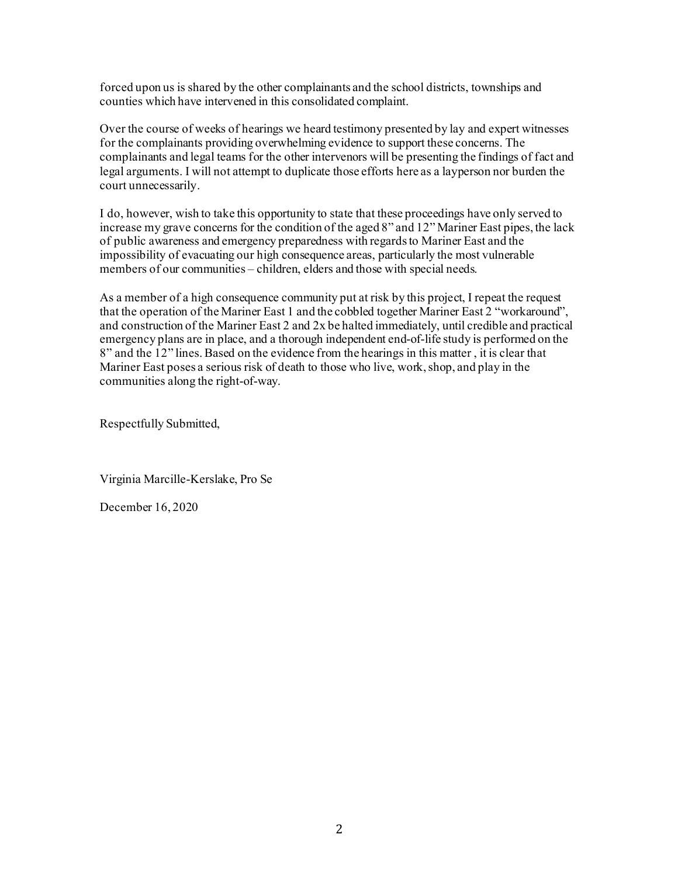forced upon us is shared by the other complainants and the school districts, townships and counties which have intervened in this consolidated complaint.

Over the course of weeks of hearings we heard testimony presented by lay and expert witnesses for the complainants providing overwhelming evidence to support these concerns. The complainants and legal teams for the other intervenors will be presenting the findings of fact and legal arguments. I will not attempt to duplicate those efforts here as a layperson nor burden the court unnecessarily.

I do, however, wish to take this opportunity to state that these proceedings have only served to increase my grave concerns for the condition of the aged 8" and 12" Mariner East pipes, the lack of public awareness and emergency preparedness with regards to Mariner East and the impossibility of evacuating our high consequence areas, particularly the most vulnerable members of our communities – children, elders and those with special needs.

As a member of a high consequence community put at risk by this project, I repeat the request that the operation of the Mariner East 1 and the cobbled together Mariner East 2 "workaround", and construction of the Mariner East 2 and 2x be halted immediately, until credible and practical emergency plans are in place, and a thorough independent end-of-life study is performed on the 8" and the 12" lines.Based on the evidence from the hearings in this matter , it is clear that Mariner East poses a serious risk of death to those who live, work, shop, and play in the communities along the right-of-way.

Respectfully Submitted,

Virginia Marcille-Kerslake, Pro Se

December 16, 2020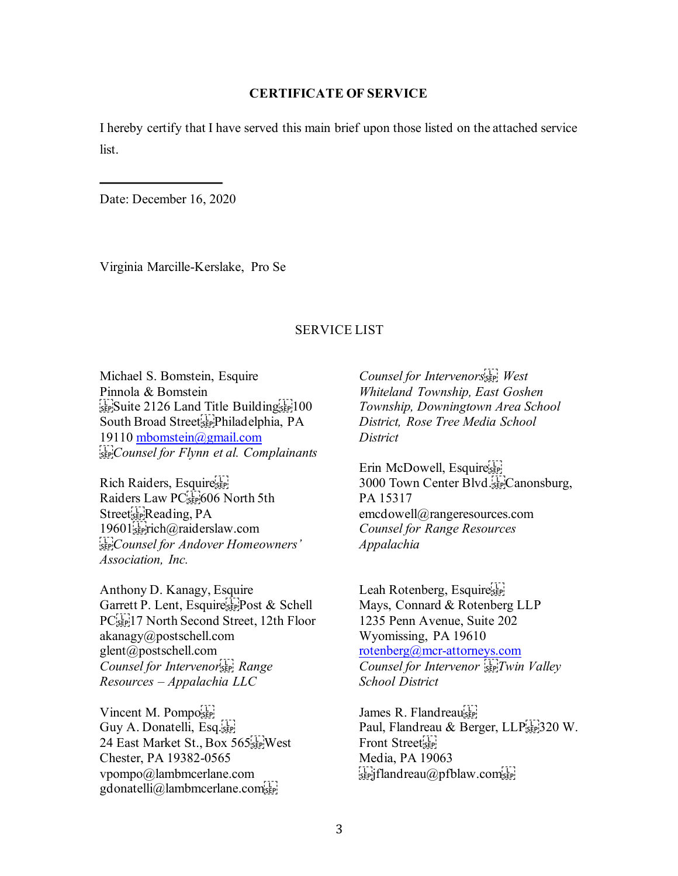## **CERTIFICATE OF SERVICE**

I hereby certify that I have served this main brief upon those listed on the attached service list.

Date: December 16, 2020

Virginia Marcille-Kerslake, Pro Se

## SERVICE LIST

Michael S. Bomstein, Esquire Pinnola & Bomstein SEP Suite 2126 Land Title Building South Broad Street<sup>[1</sup><sub>5EP</sub>]Philadelphia, PA 19110 [mbomstein@gmail.com](mailto:mbomstein@gmail.com) *Counsel for Flynn et al. Complainants* 

Rich Raiders, Esquire Raiders Law PC<sup>[1</sup>]<sub>5EP</sub><sup>[606</sup> North 5th Street<sub>sep</sub>Reading, PA 19601<sup>5</sup><sub>5</sub>Fich@raiderslaw.com *Counsel for Andover Homeowners' Association, Inc.* 

Anthony D. Kanagy, Esquire Garrett P. Lent, Esquire<sup>s</sup> Post & Schell PC<sup>[17]</sup><sub>SEP</sub><sup>17</sup> North Second Street, 12th Floor akanagy@postschell.com glent@postschell.com *Counsel for Intervenor Range Resources – Appalachia LLC* 

Vincent M. Pomposer Guy A. Donatelli, Esq.[11] 24 East Market St., Box 565<sup>[1]</sup> West Chester, PA 19382-0565 vpompo@lambmcerlane.com gdonatelli@lambmcerlane.com

*Counsel for Intervenors
 West Whiteland Township, East Goshen Township, Downingtown Area School District, Rose Tree Media School District* 

Erin McDowell, Esquire 3000 Town Center Blvd.
Canonsburg, PA 15317 emcdowell@rangeresources.com *Counsel for Range Resources Appalachia* 

Leah Rotenberg, Esquiresser Mays, Connard & Rotenberg LLP 1235 Penn Avenue, Suite 202 Wyomissing, PA 19610 [rotenberg@mcr-attorneys.com](mailto:rotenberg@mcr-attorneys.com) *Counsel for Intervenor Twin Valley School District* 

James R. Flandreauser Paul, Flandreau & Berger, LLP<sup>[111</sup>]320 W. Front Street<sub>ser!</sub> Media, PA 19063  $\sum_{s \in P}$ jflandreau $\omega$ pfblaw.com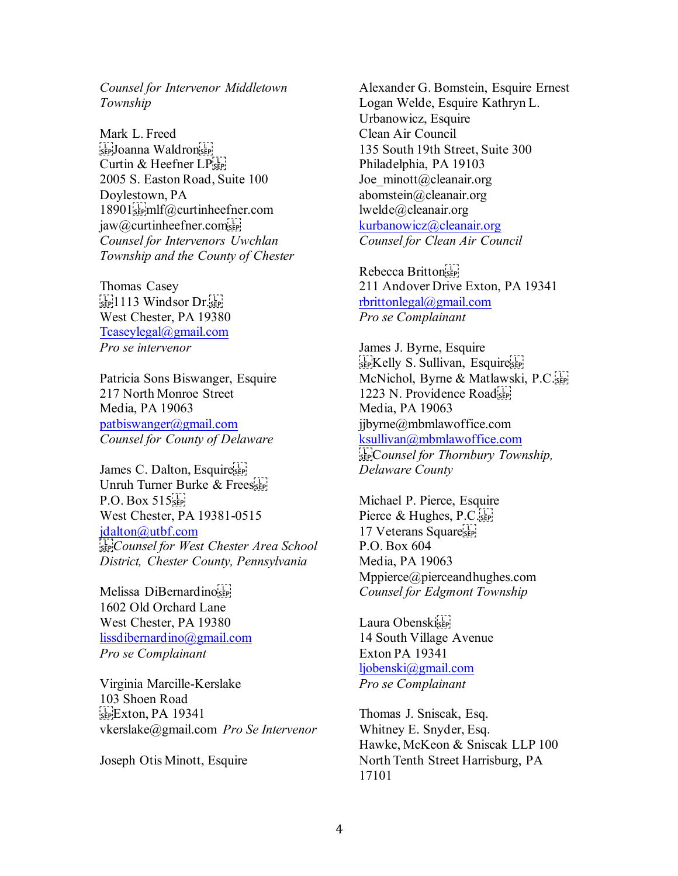*Counsel for Intervenor Middletown Township* 

Mark L. Freed see Joanna Waldronsee Curtin & Heefner LP<sup>[1]</sup> 2005 S. Easton Road, Suite 100 Doylestown, PA 18901<sup>st</sup>emlf@curtinheefner.com jaw@curtinheefner.com *Counsel for Intervenors Uwchlan Township and the County of Chester* 

Thomas Casey  $\sum_{s \in P} 1113$  Windsor Dr. West Chester, PA 19380 [Tcaseylegal@gmail.com](mailto:Tcaseylegal@gmail.com) *Pro se intervenor*

Patricia Sons Biswanger, Esquire 217 North Monroe Street Media, PA 19063 [patbiswanger@gmail.com](mailto:patbiswanger@gmail.com) *Counsel for County of Delaware*

James C. Dalton, Esquire Unruh Turner Burke & Frees  $P.O. Box 515$ <sub>SEP</sub> West Chester, PA 19381-0515 [jdalton@utbf.com](mailto:jdalton@utbf.com) *Counsel for West Chester Area School District, Chester County, Pennsylvania*

Melissa DiBernardino 1602 Old Orchard Lane West Chester, PA 19380 [lissdibernardino@gmail.com](mailto:lissdibernardino@gmail.com) *Pro se Complainant* 

Virginia Marcille-Kerslake 103 Shoen Road  $E<sub>SEP</sub>Exton, PA$  19341 vkerslake@gmail.com *Pro Se Intervenor* 

Joseph Otis Minott, Esquire

Alexander G. Bomstein, Esquire Ernest Logan Welde, Esquire Kathryn L. Urbanowicz, Esquire Clean Air Council 135 South 19th Street, Suite 300 Philadelphia, PA 19103 Joe minott@cleanair.org abomstein@cleanair.org lwelde@cleanair.org [kurbanowicz@cleanair.org](mailto:kurbanowicz@cleanair.org) *Counsel for Clean Air Council* 

Rebecca Britton 211 Andover Drive Exton, PA 19341 [rbrittonlegal@gmail.com](mailto:rbrittonlegal@gmail.com) *Pro se Complainant* 

James J. Byrne, Esquire see Kelly S. Sullivan, Esquire's McNichol, Byrne & Matlawski, P.C. 1223 N. Providence Road Media, PA 19063 jjbyrne@mbmlawoffice.com [ksullivan@mbmlawoffice.com](mailto:ksullivan@mbmlawoffice.com) C*ounsel for Thornbury Township, Delaware County* 

Michael P. Pierce, Esquire Pierce & Hughes, P.C. 17 Veterans Square P.O. Box 604 Media, PA 19063 Mppierce@pierceandhughes.com *Counsel for Edgmont Township* 

Laura Obenski 14 South Village Avenue Exton PA 19341 [ljobenski@gmail.com](mailto:ljobenski@gmail.com) *Pro se Complainant* 

Thomas J. Sniscak, Esq. Whitney E. Snyder, Esq. Hawke, McKeon & Sniscak LLP 100 North Tenth Street Harrisburg, PA 17101